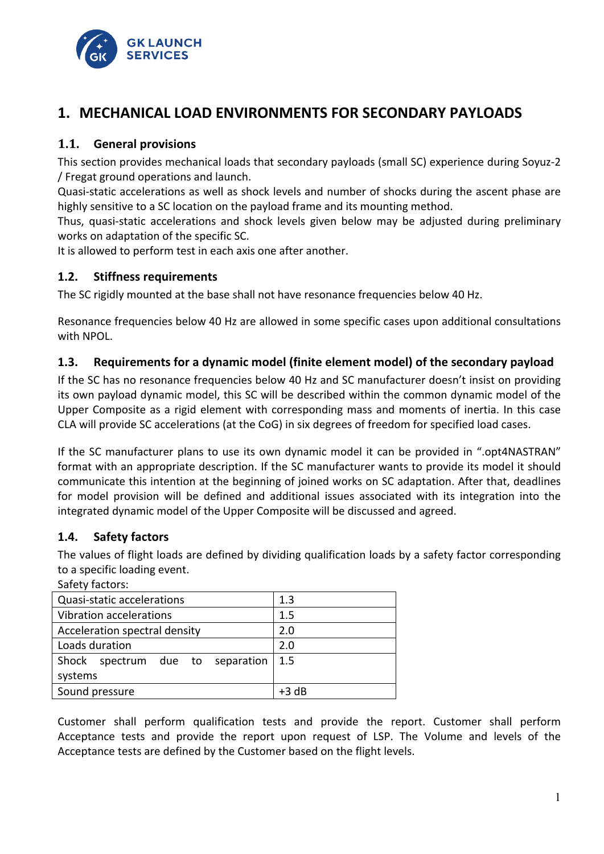

# **1. MECHANICAL LOAD ENVIRONMENTS FOR SECONDARY PAYLOADS**

#### **1.1. General provisions**

This section provides mechanical loads that secondary payloads (small SC) experience during Soyuz-2 / Fregat ground operations and launch.

Quasi-static accelerations as well as shock levels and number of shocks during the ascent phase are highly sensitive to a SC location on the payload frame and its mounting method.

Thus, quasi-static accelerations and shock levels given below may be adjusted during preliminary works on adaptation of the specific SC.

It is allowed to perform test in each axis one after another.

#### **1.2. Stiffness requirements**

The SC rigidly mounted at the base shall not have resonance frequencies below 40 Hz.

Resonance frequencies below 40 Hz are allowed in some specific cases upon additional consultations with NPOL.

### **1.3. Requirements for a dynamic model (finite element model) of the secondary payload**

If the SC has no resonance frequencies below 40 Hz and SC manufacturer doesn't insist on providing its own payload dynamic model, this SC will be described within the common dynamic model of the Upper Composite as a rigid element with corresponding mass and moments of inertia. In this case CLA will provide SC accelerations (at the CoG) in six degrees of freedom for specified load cases.

If the SC manufacturer plans to use its own dynamic model it can be provided in ".opt4NASTRAN" format with an appropriate description. If the SC manufacturer wants to provide its model it should communicate this intention at the beginning of joined works on SC adaptation. After that, deadlines for model provision will be defined and additional issues associated with its integration into the integrated dynamic model of the Upper Composite will be discussed and agreed.

#### **1.4. Safety factors**

The values of flight loads are defined by dividing qualification loads by a safety factor corresponding to a specific loading event.

| Safety factors:                     |         |
|-------------------------------------|---------|
| Quasi-static accelerations          | 1.3     |
| Vibration accelerations             | 1.5     |
| Acceleration spectral density       | 2.0     |
| Loads duration                      | 2.0     |
| Shock<br>spectrum due to separation | 1.5     |
| systems                             |         |
| Sound pressure                      | $+3$ dB |

Customer shall perform qualification tests and provide the report. Customer shall perform Acceptance tests and provide the report upon request of LSP. The Volume and levels of the Acceptance tests are defined by the Customer based on the flight levels.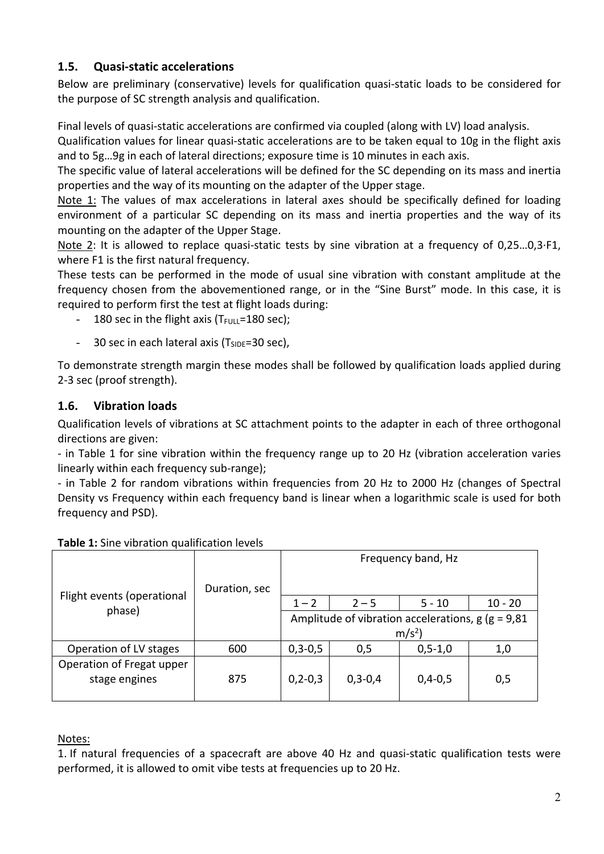### **1.5. Quasi-static accelerations**

Below are preliminary (conservative) levels for qualification quasi-static loads to be considered for the purpose of SC strength analysis and qualification.

Final levels of quasi-static accelerations are confirmed via coupled (along with LV) load analysis.

Qualification values for linear quasi-static accelerations are to be taken equal to 10g in the flight axis and to 5g…9g in each of lateral directions; exposure time is 10 minutes in each axis.

The specific value of lateral accelerations will be defined for the SC depending on its mass and inertia properties and the way of its mounting on the adapter of the Upper stage.

Note 1: The values of max accelerations in lateral axes should be specifically defined for loading environment of a particular SC depending on its mass and inertia properties and the way of its mounting on the adapter of the Upper Stage.

Note 2: It is allowed to replace quasi-static tests by sine vibration at a frequency of 0,25...0,3·F1, where F1 is the first natural frequency.

These tests can be performed in the mode of usual sine vibration with constant amplitude at the frequency chosen from the abovementioned range, or in the "Sine Burst" mode. In this case, it is required to perform first the test at flight loads during:

- 180 sec in the flight axis ( $T_{\text{FULL}}$ =180 sec);
- 30 sec in each lateral axis ( $T_{SIDE}$ =30 sec),

To demonstrate strength margin these modes shall be followed by qualification loads applied during 2-3 sec (proof strength).

### **1.6. Vibration loads**

Qualification levels of vibrations at SC attachment points to the adapter in each of three orthogonal directions are given:

- in Table 1 for sine vibration within the frequency range up to 20 Hz (vibration acceleration varies linearly within each frequency sub-range);

- in Table 2 for random vibrations within frequencies from 20 Hz to 2000 Hz (changes of Spectral Density vs Frequency within each frequency band is linear when a logarithmic scale is used for both frequency and PSD).

|                            |               | Frequency band, Hz                                       |           |               |           |  |
|----------------------------|---------------|----------------------------------------------------------|-----------|---------------|-----------|--|
|                            | Duration, sec |                                                          |           |               |           |  |
| Flight events (operational |               | $1 - 2$                                                  | $2 - 5$   | $5 - 10$      | $10 - 20$ |  |
| phase)                     |               | Amplitude of vibration accelerations, $g$ ( $g = 9.81$ ) |           |               |           |  |
|                            |               | m/s <sup>2</sup>                                         |           |               |           |  |
| Operation of LV stages     | 600           | $0,3-0,5$                                                | 0,5       | $0, 5 - 1, 0$ | 1,0       |  |
| Operation of Fregat upper  |               |                                                          |           |               |           |  |
| stage engines              | 875           | $0, 2 - 0, 3$                                            | $0,3-0,4$ | $0,4-0,5$     | 0,5       |  |
|                            |               |                                                          |           |               |           |  |

### **Table 1:** Sine vibration qualification levels

#### Notes:

1. If natural frequencies of a spacecraft are above 40 Hz and quasi-static qualification tests were performed, it is allowed to omit vibe tests at frequencies up to 20 Hz.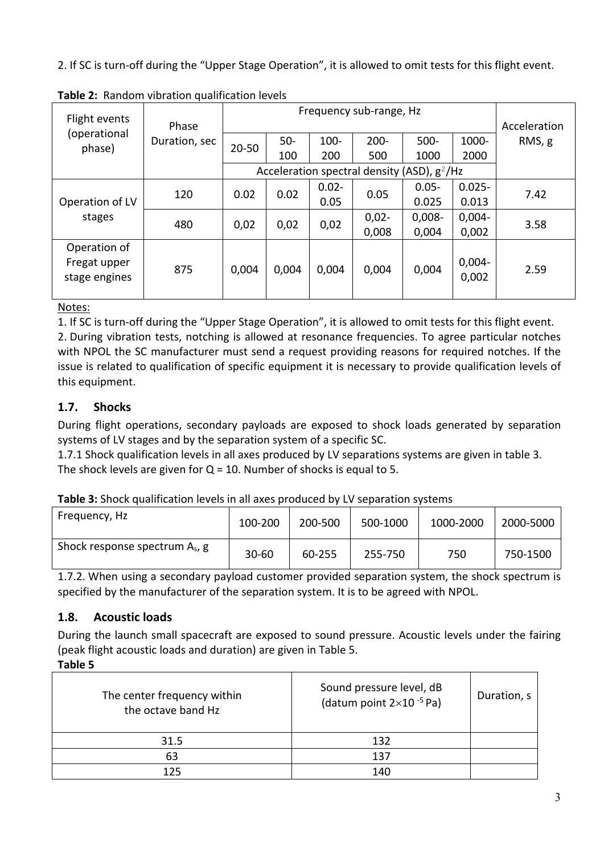2. If SC is turn-off during the "Upper Stage Operation", it is allowed to omit tests for this flight event.

| Flight events                                 |                        | Frequency sub-range, Hz |               |                  |                                                |                    |                    |                        |
|-----------------------------------------------|------------------------|-------------------------|---------------|------------------|------------------------------------------------|--------------------|--------------------|------------------------|
| (operational<br>phase)                        | Phase<br>Duration, sec | 20-50                   | $50 -$<br>100 | 100-<br>200      | $200 -$<br>500                                 | $500 -$<br>1000    | 1000-<br>2000      | Acceleration<br>RMS, g |
|                                               |                        |                         |               |                  | Acceleration spectral density (ASD), $g^2$ /Hz |                    |                    |                        |
| Operation of LV                               | 120                    | 0.02                    | 0.02          | $0.02 -$<br>0.05 | 0.05                                           | $0.05 -$<br>0.025  | $0.025 -$<br>0.013 | 7.42                   |
| stages                                        | 480                    | 0,02                    | 0,02          | 0,02             | $0,02 -$<br>0,008                              | $0,008 -$<br>0,004 | $0,004 -$<br>0,002 | 3.58                   |
| Operation of<br>Fregat upper<br>stage engines | 875                    | 0,004                   | 0,004         | 0,004            | 0,004                                          | 0,004              | $0,004 -$<br>0,002 | 2.59                   |

**Table 2:** Random vibration qualification levels

Notes:

1. If SC is turn-off during the "Upper Stage Operation", it is allowed to omit tests for this flight event. 2. During vibration tests, notching is allowed at resonance frequencies. To agree particular notches with NPOL the SC manufacturer must send a request providing reasons for required notches. If the issue is related to qualification of specific equipment it is necessary to provide qualification levels of this equipment.

# **1.7. Shocks**

During flight operations, secondary payloads are exposed to shock loads generated by separation systems of LV stages and by the separation system of a specific SC.

1.7.1 Shock qualification levels in all axes produced by LV separations systems are given in table 3. The shock levels are given for  $Q = 10$ . Number of shocks is equal to 5.

**Table 3:** Shock qualification levels in all axes produced by LV separation systems

| Frequency, Hz                     | 100-200   | 200-500 | 500-1000 | 1000-2000 | 2000-5000 |
|-----------------------------------|-----------|---------|----------|-----------|-----------|
| Shock response spectrum $A_s$ , g | $30 - 60$ | 60-255  | 255-750  | 750       | 750-1500  |

1.7.2. When using a secondary payload customer provided separation system, the shock spectrum is specified by the manufacturer of the separation system. It is to be agreed with NPOL.

# **1.8. Acoustic loads**

During the launch small spacecraft are exposed to sound pressure. Acoustic levels under the fairing (peak flight acoustic loads and duration) are given in Table 5.

**Table 5**

| The center frequency within<br>the octave band Hz | Sound pressure level, dB<br>(datum point $2\times10^{-5}$ Pa) | Duration, s |
|---------------------------------------------------|---------------------------------------------------------------|-------------|
| 31.5                                              | 132                                                           |             |
| 63                                                | 137                                                           |             |
| 125                                               | 140                                                           |             |